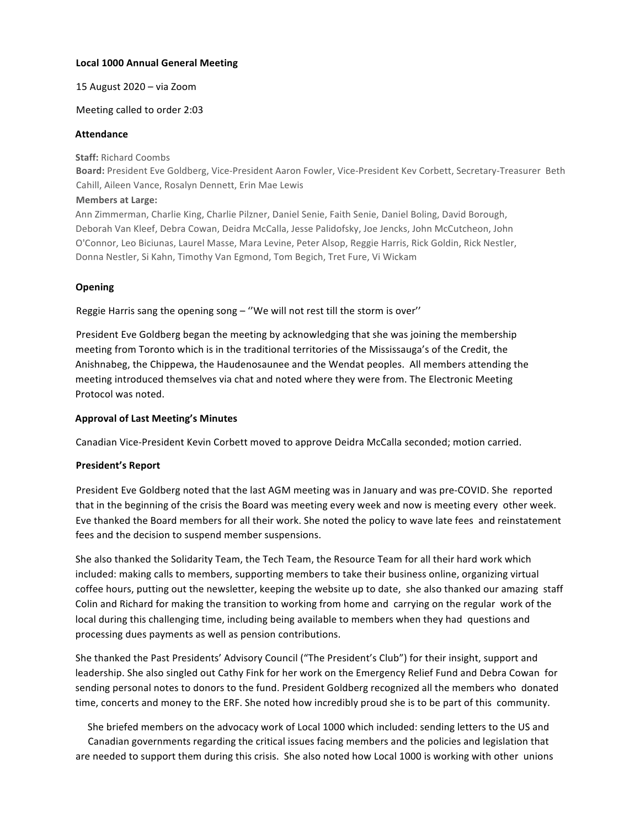## **Local 1000 Annual General Meeting**

### 15 August 2020 - via Zoom

## Meeting called to order 2:03

### **Attendance**

**Staff: Richard Coombs** 

Board: President Eve Goldberg, Vice-President Aaron Fowler, Vice-President Kev Corbett, Secretary-Treasurer Beth Cahill, Aileen Vance, Rosalyn Dennett, Erin Mae Lewis

### **Members at Large:**

Ann Zimmerman, Charlie King, Charlie Pilzner, Daniel Senie, Faith Senie, Daniel Boling, David Borough, Deborah Van Kleef, Debra Cowan, Deidra McCalla, Jesse Palidofsky, Joe Jencks, John McCutcheon, John O'Connor, Leo Biciunas, Laurel Masse, Mara Levine, Peter Alsop, Reggie Harris, Rick Goldin, Rick Nestler, Donna Nestler, Si Kahn, Timothy Van Egmond, Tom Begich, Tret Fure, Vi Wickam

## **Opening**

Reggie Harris sang the opening song  $-$  "We will not rest till the storm is over"

President Eve Goldberg began the meeting by acknowledging that she was joining the membership meeting from Toronto which is in the traditional territories of the Mississauga's of the Credit, the Anishnabeg, the Chippewa, the Haudenosaunee and the Wendat peoples. All members attending the meeting introduced themselves via chat and noted where they were from. The Electronic Meeting Protocol was noted.

## **Approval of Last Meeting's Minutes**

Canadian Vice-President Kevin Corbett moved to approve Deidra McCalla seconded; motion carried.

## **President's Report**

President Eve Goldberg noted that the last AGM meeting was in January and was pre-COVID. She reported that in the beginning of the crisis the Board was meeting every week and now is meeting every other week. Eve thanked the Board members for all their work. She noted the policy to wave late fees and reinstatement fees and the decision to suspend member suspensions.

She also thanked the Solidarity Team, the Tech Team, the Resource Team for all their hard work which included: making calls to members, supporting members to take their business online, organizing virtual coffee hours, putting out the newsletter, keeping the website up to date, she also thanked our amazing staff Colin and Richard for making the transition to working from home and carrying on the regular work of the local during this challenging time, including being available to members when they had questions and processing dues payments as well as pension contributions.

She thanked the Past Presidents' Advisory Council ("The President's Club") for their insight, support and leadership. She also singled out Cathy Fink for her work on the Emergency Relief Fund and Debra Cowan for sending personal notes to donors to the fund. President Goldberg recognized all the members who donated time, concerts and money to the ERF. She noted how incredibly proud she is to be part of this community.

She briefed members on the advocacy work of Local 1000 which included: sending letters to the US and Canadian governments regarding the critical issues facing members and the policies and legislation that are needed to support them during this crisis. She also noted how Local 1000 is working with other unions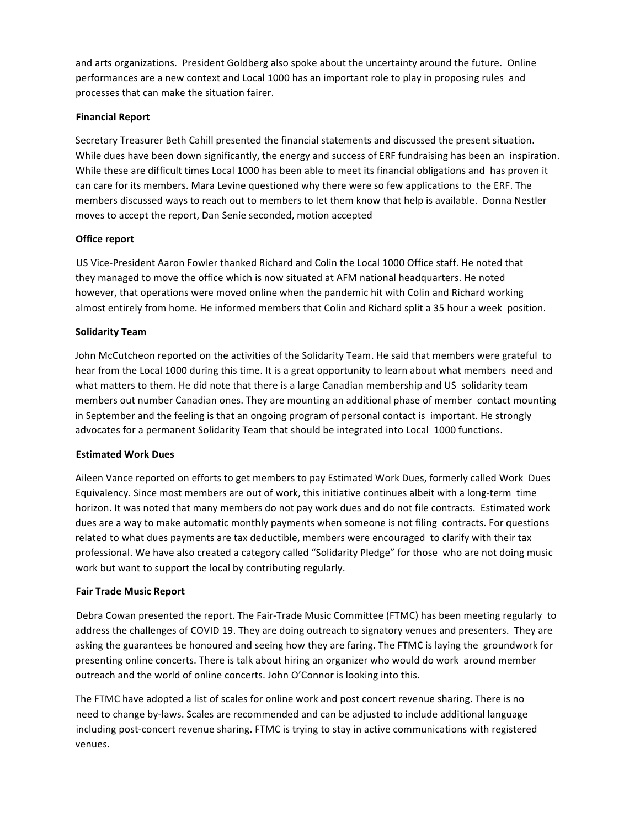and arts organizations. President Goldberg also spoke about the uncertainty around the future. Online performances are a new context and Local 1000 has an important role to play in proposing rules and processes that can make the situation fairer.

## **Financial Report**

Secretary Treasurer Beth Cahill presented the financial statements and discussed the present situation. While dues have been down significantly, the energy and success of ERF fundraising has been an inspiration. While these are difficult times Local 1000 has been able to meet its financial obligations and has proven it can care for its members. Mara Levine questioned why there were so few applications to the ERF. The members discussed ways to reach out to members to let them know that help is available. Donna Nestler moves to accept the report, Dan Senie seconded, motion accepted

## **Office report**

US Vice-President Aaron Fowler thanked Richard and Colin the Local 1000 Office staff. He noted that they managed to move the office which is now situated at AFM national headquarters. He noted however, that operations were moved online when the pandemic hit with Colin and Richard working almost entirely from home. He informed members that Colin and Richard split a 35 hour a week position.

## **Solidarity Team**

John McCutcheon reported on the activities of the Solidarity Team. He said that members were grateful to hear from the Local 1000 during this time. It is a great opportunity to learn about what members need and what matters to them. He did note that there is a large Canadian membership and US solidarity team members out number Canadian ones. They are mounting an additional phase of member contact mounting in September and the feeling is that an ongoing program of personal contact is important. He strongly advocates for a permanent Solidarity Team that should be integrated into Local 1000 functions.

### **Estimated Work Dues**

Aileen Vance reported on efforts to get members to pay Estimated Work Dues, formerly called Work Dues Equivalency. Since most members are out of work, this initiative continues albeit with a long-term time horizon. It was noted that many members do not pay work dues and do not file contracts. Estimated work dues are a way to make automatic monthly payments when someone is not filing contracts. For questions related to what dues payments are tax deductible, members were encouraged to clarify with their tax professional. We have also created a category called "Solidarity Pledge" for those who are not doing music work but want to support the local by contributing regularly.

### **Fair Trade Music Report**

Debra Cowan presented the report. The Fair-Trade Music Committee (FTMC) has been meeting regularly to address the challenges of COVID 19. They are doing outreach to signatory venues and presenters. They are asking the guarantees be honoured and seeing how they are faring. The FTMC is laying the groundwork for presenting online concerts. There is talk about hiring an organizer who would do work around member outreach and the world of online concerts. John O'Connor is looking into this.

The FTMC have adopted a list of scales for online work and post concert revenue sharing. There is no need to change by-laws. Scales are recommended and can be adjusted to include additional language including post-concert revenue sharing. FTMC is trying to stay in active communications with registered venues.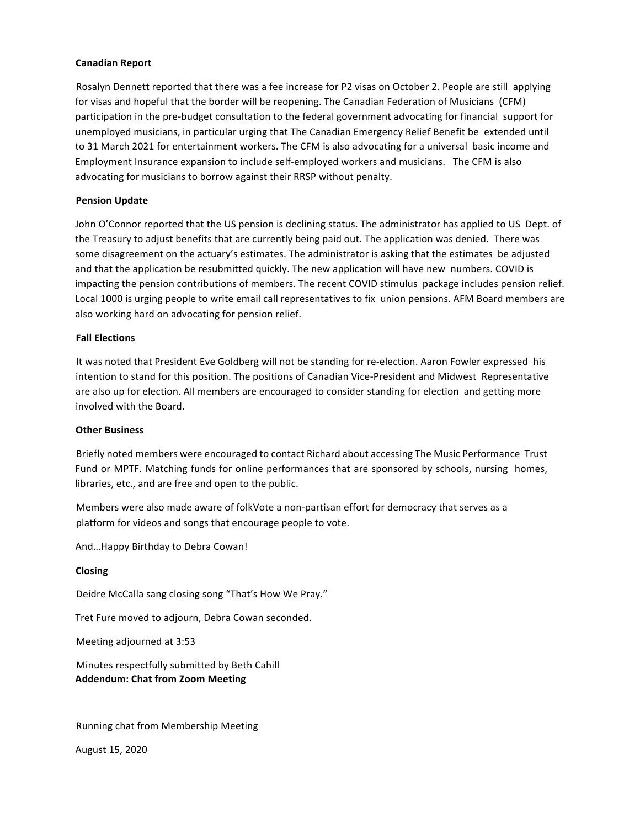### **Canadian Report**

Rosalyn Dennett reported that there was a fee increase for P2 visas on October 2. People are still applying for visas and hopeful that the border will be reopening. The Canadian Federation of Musicians (CFM) participation in the pre-budget consultation to the federal government advocating for financial support for unemployed musicians, in particular urging that The Canadian Emergency Relief Benefit be extended until to 31 March 2021 for entertainment workers. The CFM is also advocating for a universal basic income and Employment Insurance expansion to include self-employed workers and musicians. The CFM is also advocating for musicians to borrow against their RRSP without penalty.

### **Pension Update**

John O'Connor reported that the US pension is declining status. The administrator has applied to US Dept. of the Treasury to adjust benefits that are currently being paid out. The application was denied. There was some disagreement on the actuary's estimates. The administrator is asking that the estimates be adjusted and that the application be resubmitted quickly. The new application will have new numbers. COVID is impacting the pension contributions of members. The recent COVID stimulus package includes pension relief. Local 1000 is urging people to write email call representatives to fix union pensions. AFM Board members are also working hard on advocating for pension relief.

#### **Fall Elections**

It was noted that President Eve Goldberg will not be standing for re-election. Aaron Fowler expressed his intention to stand for this position. The positions of Canadian Vice-President and Midwest Representative are also up for election. All members are encouraged to consider standing for election and getting more involved with the Board.

#### **Other Business**

Briefly noted members were encouraged to contact Richard about accessing The Music Performance Trust Fund or MPTF. Matching funds for online performances that are sponsored by schools, nursing homes, libraries, etc., and are free and open to the public.

Members were also made aware of folkVote a non-partisan effort for democracy that serves as a platform for videos and songs that encourage people to vote.

And...Happy Birthday to Debra Cowan!

#### **Closing**

Deidre McCalla sang closing song "That's How We Pray."

Tret Fure moved to adjourn, Debra Cowan seconded.

Meeting adjourned at 3:53 

Minutes respectfully submitted by Beth Cahill **Addendum: Chat from Zoom Meeting** 

Running chat from Membership Meeting

August 15, 2020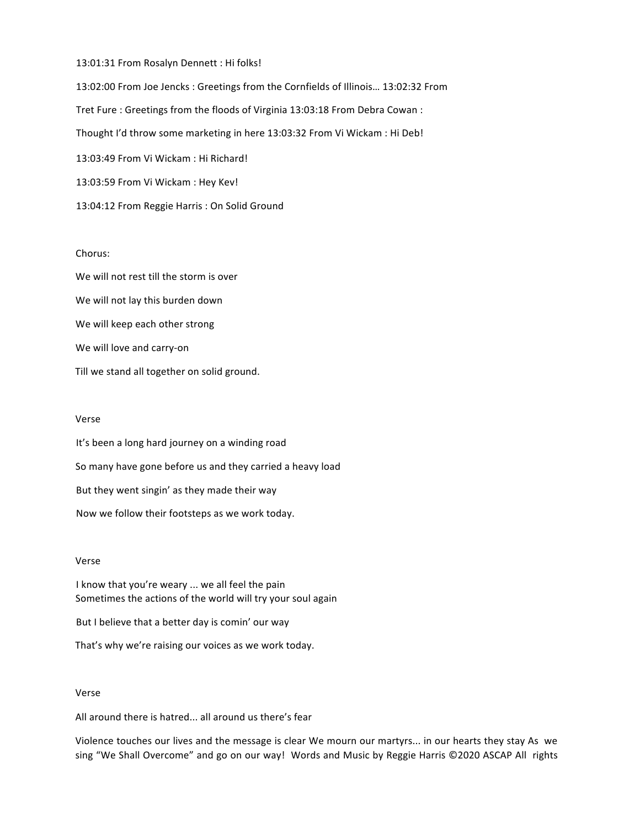13:01:31 From Rosalyn Dennett : Hi folks!

13:02:00 From Joe Jencks : Greetings from the Cornfields of Illinois... 13:02:32 From Tret Fure : Greetings from the floods of Virginia 13:03:18 From Debra Cowan : Thought I'd throw some marketing in here 13:03:32 From Vi Wickam : Hi Deb! 13:03:49 From Vi Wickam : Hi Richard! 13:03:59 From Vi Wickam : Hey Kev! 13:04:12 From Reggie Harris : On Solid Ground

## Chorus:

We will not rest till the storm is over We will not lay this burden down We will keep each other strong We will love and carry-on Till we stand all together on solid ground.

#### Verse

It's been a long hard journey on a winding road So many have gone before us and they carried a heavy load But they went singin' as they made their way Now we follow their footsteps as we work today.

### Verse

I know that you're weary ... we all feel the pain Sometimes the actions of the world will try your soul again

But I believe that a better day is comin' our way

That's why we're raising our voices as we work today.

#### Verse

All around there is hatred... all around us there's fear

Violence touches our lives and the message is clear We mourn our martyrs... in our hearts they stay As we sing "We Shall Overcome" and go on our way! Words and Music by Reggie Harris ©2020 ASCAP All rights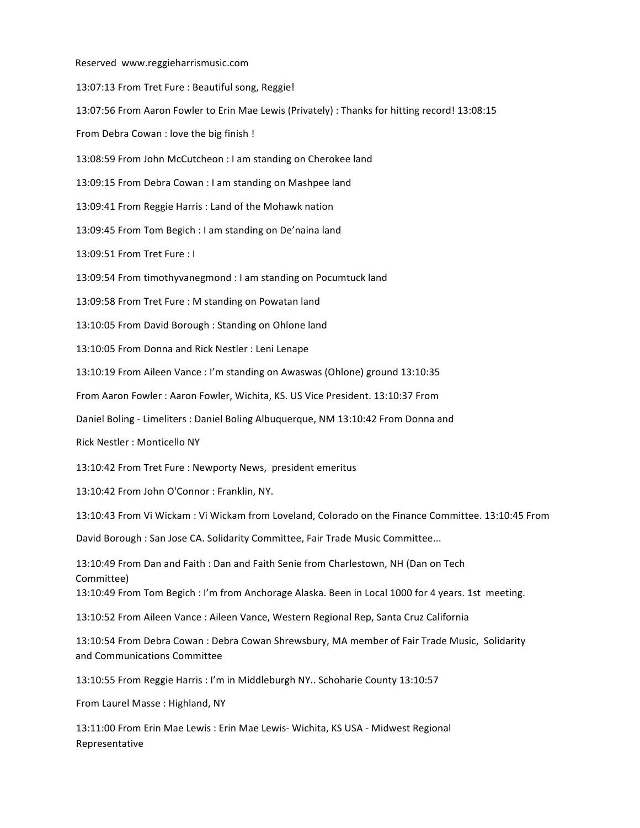Reserved www.reggieharrismusic.com 13:07:13 From Tret Fure : Beautiful song, Reggie! 13:07:56 From Aaron Fowler to Erin Mae Lewis (Privately) : Thanks for hitting record! 13:08:15 From Debra Cowan : love the big finish ! 13:08:59 From John McCutcheon : I am standing on Cherokee land 13:09:15 From Debra Cowan : I am standing on Mashpee land 13:09:41 From Reggie Harris : Land of the Mohawk nation 13:09:45 From Tom Begich : I am standing on De'naina land 13:09:51 From Tret Fure : I 13:09:54 From timothyvanegmond : I am standing on Pocumtuck land 13:09:58 From Tret Fure : M standing on Powatan land 13:10:05 From David Borough : Standing on Ohlone land 13:10:05 From Donna and Rick Nestler : Leni Lenape 13:10:19 From Aileen Vance : I'm standing on Awaswas (Ohlone) ground 13:10:35 From Aaron Fowler : Aaron Fowler, Wichita, KS. US Vice President. 13:10:37 From Daniel Boling - Limeliters : Daniel Boling Albuquerque, NM 13:10:42 From Donna and Rick Nestler : Monticello NY 13:10:42 From Tret Fure : Newporty News, president emeritus 13:10:42 From John O'Connor : Franklin, NY. 13:10:43 From Vi Wickam : Vi Wickam from Loveland, Colorado on the Finance Committee. 13:10:45 From David Borough : San Jose CA. Solidarity Committee, Fair Trade Music Committee... 13:10:49 From Dan and Faith : Dan and Faith Senie from Charlestown, NH (Dan on Tech Committee) 13:10:49 From Tom Begich : I'm from Anchorage Alaska. Been in Local 1000 for 4 years. 1st meeting. 13:10:52 From Aileen Vance : Aileen Vance, Western Regional Rep, Santa Cruz California 13:10:54 From Debra Cowan : Debra Cowan Shrewsbury, MA member of Fair Trade Music, Solidarity and Communications Committee 13:10:55 From Reggie Harris : I'm in Middleburgh NY.. Schoharie County 13:10:57 From Laurel Masse : Highland, NY 13:11:00 From Erin Mae Lewis : Erin Mae Lewis- Wichita, KS USA - Midwest Regional

Representative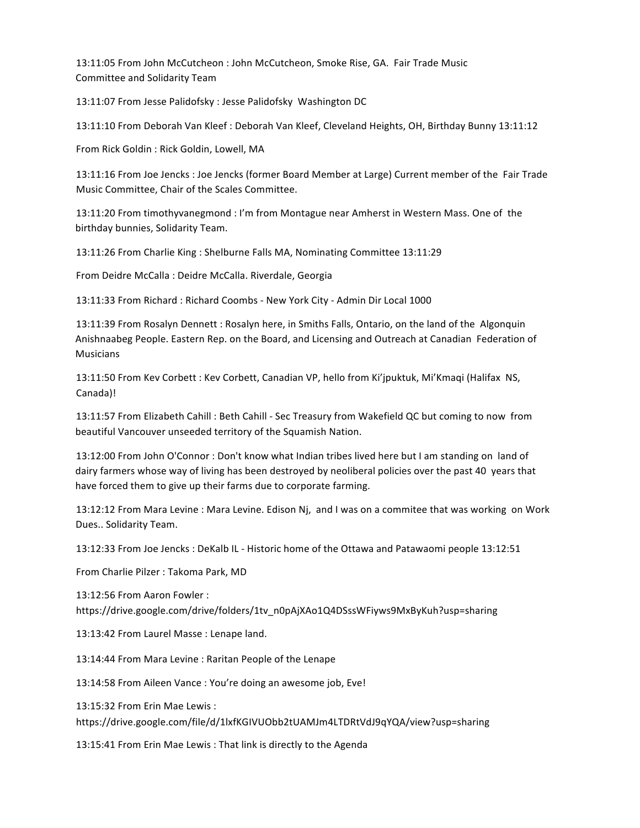13:11:05 From John McCutcheon : John McCutcheon, Smoke Rise, GA. Fair Trade Music Committee and Solidarity Team 

13:11:07 From Jesse Palidofsky : Jesse Palidofsky Washington DC

13:11:10 From Deborah Van Kleef : Deborah Van Kleef, Cleveland Heights, OH, Birthday Bunny 13:11:12

From Rick Goldin : Rick Goldin, Lowell, MA

13:11:16 From Joe Jencks : Joe Jencks (former Board Member at Large) Current member of the Fair Trade Music Committee, Chair of the Scales Committee.

13:11:20 From timothyvanegmond : I'm from Montague near Amherst in Western Mass. One of the birthday bunnies, Solidarity Team.

13:11:26 From Charlie King : Shelburne Falls MA, Nominating Committee 13:11:29

From Deidre McCalla : Deidre McCalla. Riverdale, Georgia

13:11:33 From Richard : Richard Coombs - New York City - Admin Dir Local 1000 

13:11:39 From Rosalyn Dennett : Rosalyn here, in Smiths Falls, Ontario, on the land of the Algonquin Anishnaabeg People. Eastern Rep. on the Board, and Licensing and Outreach at Canadian Federation of **Musicians** 

13:11:50 From Kev Corbett : Kev Corbett, Canadian VP, hello from Ki'jpuktuk, Mi'Kmaqi (Halifax NS, Canada)! 

13:11:57 From Elizabeth Cahill : Beth Cahill - Sec Treasury from Wakefield QC but coming to now from beautiful Vancouver unseeded territory of the Squamish Nation.

13:12:00 From John O'Connor : Don't know what Indian tribes lived here but I am standing on land of dairy farmers whose way of living has been destroyed by neoliberal policies over the past 40 years that have forced them to give up their farms due to corporate farming.

13:12:12 From Mara Levine : Mara Levine. Edison Nj, and I was on a commitee that was working on Work Dues.. Solidarity Team.

13:12:33 From Joe Jencks : DeKalb IL - Historic home of the Ottawa and Patawaomi people 13:12:51

From Charlie Pilzer : Takoma Park, MD

13:12:56 From Aaron Fowler : https://drive.google.com/drive/folders/1tv\_n0pAjXAo1Q4DSssWFiyws9MxByKuh?usp=sharing 

13:13:42 From Laurel Masse : Lenape land.

13:14:44 From Mara Levine : Raritan People of the Lenape

13:14:58 From Aileen Vance : You're doing an awesome job, Eve!

13:15:32 From Erin Mae Lewis : 

https://drive.google.com/file/d/1lxfKGIVUObb2tUAMJm4LTDRtVdJ9qYQA/view?usp=sharing 

13:15:41 From Erin Mae Lewis: That link is directly to the Agenda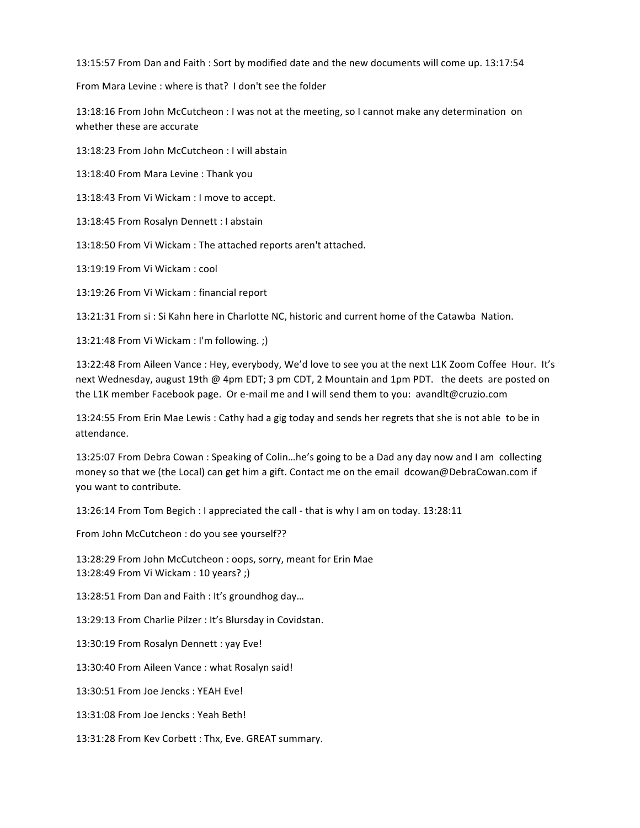13:15:57 From Dan and Faith : Sort by modified date and the new documents will come up. 13:17:54

From Mara Levine : where is that? I don't see the folder

13:18:16 From John McCutcheon : I was not at the meeting, so I cannot make any determination on whether these are accurate

13:18:23 From John McCutcheon : I will abstain

13:18:40 From Mara Levine : Thank you

13:18:43 From Vi Wickam : I move to accept.

13:18:45 From Rosalyn Dennett : I abstain

13:18:50 From Vi Wickam : The attached reports aren't attached.

13:19:19 From Vi Wickam : cool

13:19:26 From Vi Wickam : financial report

13:21:31 From si: Si Kahn here in Charlotte NC, historic and current home of the Catawba Nation.

13:21:48 From Vi Wickam : I'm following. ;)

13:22:48 From Aileen Vance : Hey, everybody, We'd love to see you at the next L1K Zoom Coffee Hour. It's next Wednesday, august 19th @ 4pm EDT; 3 pm CDT, 2 Mountain and 1pm PDT. the deets are posted on the L1K member Facebook page. Or e-mail me and I will send them to you: avandIt@cruzio.com

13:24:55 From Erin Mae Lewis : Cathy had a gig today and sends her regrets that she is not able to be in attendance. 

13:25:07 From Debra Cowan : Speaking of Colin...he's going to be a Dad any day now and I am collecting money so that we (the Local) can get him a gift. Contact me on the email dcowan@DebraCowan.com if you want to contribute.

13:26:14 From Tom Begich : I appreciated the call - that is why I am on today. 13:28:11

From John McCutcheon : do you see yourself??

13:28:29 From John McCutcheon : oops, sorry, meant for Erin Mae 13:28:49 From Vi Wickam : 10 years? ;)

13:28:51 From Dan and Faith : It's groundhog day...

13:29:13 From Charlie Pilzer : It's Blursday in Covidstan.

13:30:19 From Rosalyn Dennett : yay Eve!

13:30:40 From Aileen Vance : what Rosalyn said!

13:30:51 From Joe Jencks : YEAH Eve!

13:31:08 From Joe Jencks : Yeah Beth!

13:31:28 From Kev Corbett : Thx, Eve. GREAT summary.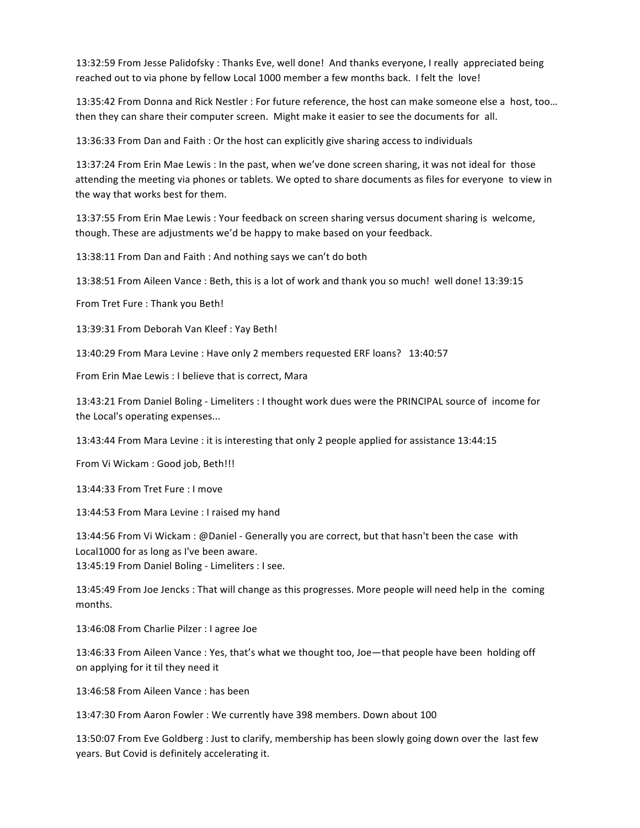13:32:59 From Jesse Palidofsky : Thanks Eve, well done! And thanks everyone, I really appreciated being reached out to via phone by fellow Local 1000 member a few months back. I felt the love!

13:35:42 From Donna and Rick Nestler : For future reference, the host can make someone else a host, too... then they can share their computer screen. Might make it easier to see the documents for all.

13:36:33 From Dan and Faith : Or the host can explicitly give sharing access to individuals

13:37:24 From Erin Mae Lewis : In the past, when we've done screen sharing, it was not ideal for those attending the meeting via phones or tablets. We opted to share documents as files for everyone to view in the way that works best for them.

13:37:55 From Erin Mae Lewis : Your feedback on screen sharing versus document sharing is welcome, though. These are adjustments we'd be happy to make based on your feedback.

13:38:11 From Dan and Faith : And nothing says we can't do both

13:38:51 From Aileen Vance : Beth, this is a lot of work and thank you so much! well done! 13:39:15

From Tret Fure : Thank you Beth!

13:39:31 From Deborah Van Kleef : Yay Beth!

13:40:29 From Mara Levine : Have only 2 members requested ERF loans? 13:40:57

From Erin Mae Lewis : I believe that is correct, Mara

13:43:21 From Daniel Boling - Limeliters : I thought work dues were the PRINCIPAL source of income for the Local's operating expenses...

13:43:44 From Mara Levine : it is interesting that only 2 people applied for assistance 13:44:15

From Vi Wickam : Good job, Beth!!!

13:44:33 From Tret Fure : I move

13:44:53 From Mara Levine : I raised my hand

13:44:56 From Vi Wickam : @Daniel - Generally you are correct, but that hasn't been the case with Local1000 for as long as I've been aware. 13:45:19 From Daniel Boling - Limeliters : I see.

13:45:49 From Joe Jencks : That will change as this progresses. More people will need help in the coming months. 

13:46:08 From Charlie Pilzer : I agree Joe

13:46:33 From Aileen Vance : Yes, that's what we thought too, Joe-that people have been holding off on applying for it til they need it

13:46:58 From Aileen Vance : has been

13:47:30 From Aaron Fowler : We currently have 398 members. Down about 100

13:50:07 From Eve Goldberg : Just to clarify, membership has been slowly going down over the last few years. But Covid is definitely accelerating it.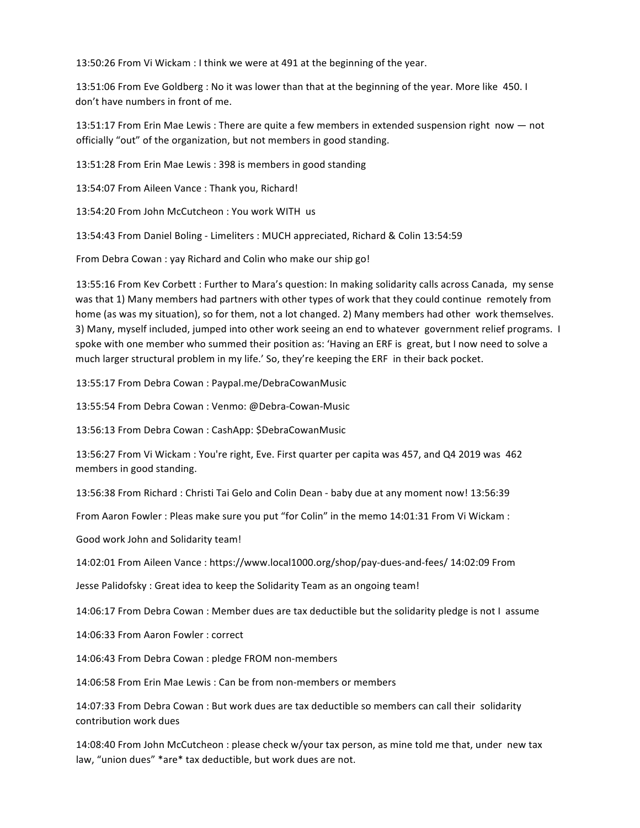13:50:26 From Vi Wickam : I think we were at 491 at the beginning of the year.

13:51:06 From Eve Goldberg : No it was lower than that at the beginning of the year. More like 450. I don't have numbers in front of me.

13:51:17 From Erin Mae Lewis : There are quite a few members in extended suspension right now  $-$  not officially "out" of the organization, but not members in good standing.

13:51:28 From Erin Mae Lewis : 398 is members in good standing

13:54:07 From Aileen Vance : Thank you, Richard!

13:54:20 From John McCutcheon : You work WITH us

13:54:43 From Daniel Boling - Limeliters : MUCH appreciated, Richard & Colin 13:54:59

From Debra Cowan : yay Richard and Colin who make our ship go!

13:55:16 From Kev Corbett : Further to Mara's question: In making solidarity calls across Canada, my sense was that 1) Many members had partners with other types of work that they could continue remotely from home (as was my situation), so for them, not a lot changed. 2) Many members had other work themselves. 3) Many, myself included, jumped into other work seeing an end to whatever government relief programs. I spoke with one member who summed their position as: 'Having an ERF is great, but I now need to solve a much larger structural problem in my life.' So, they're keeping the ERF in their back pocket.

13:55:17 From Debra Cowan : Paypal.me/DebraCowanMusic

13:55:54 From Debra Cowan : Venmo: @Debra-Cowan-Music

13:56:13 From Debra Cowan : CashApp: \$DebraCowanMusic

13:56:27 From Vi Wickam : You're right, Eve. First quarter per capita was 457, and Q4 2019 was 462 members in good standing.

13:56:38 From Richard : Christi Tai Gelo and Colin Dean - baby due at any moment now! 13:56:39

From Aaron Fowler : Pleas make sure you put "for Colin" in the memo 14:01:31 From Vi Wickam :

Good work John and Solidarity team!

14:02:01 From Aileen Vance : https://www.local1000.org/shop/pay-dues-and-fees/ 14:02:09 From

Jesse Palidofsky : Great idea to keep the Solidarity Team as an ongoing team!

14:06:17 From Debra Cowan : Member dues are tax deductible but the solidarity pledge is not I assume

14:06:33 From Aaron Fowler : correct

14:06:43 From Debra Cowan : pledge FROM non-members

14:06:58 From Erin Mae Lewis : Can be from non-members or members

14:07:33 From Debra Cowan : But work dues are tax deductible so members can call their solidarity contribution work dues 

14:08:40 From John McCutcheon : please check w/your tax person, as mine told me that, under new tax law, "union dues" \*are\* tax deductible, but work dues are not.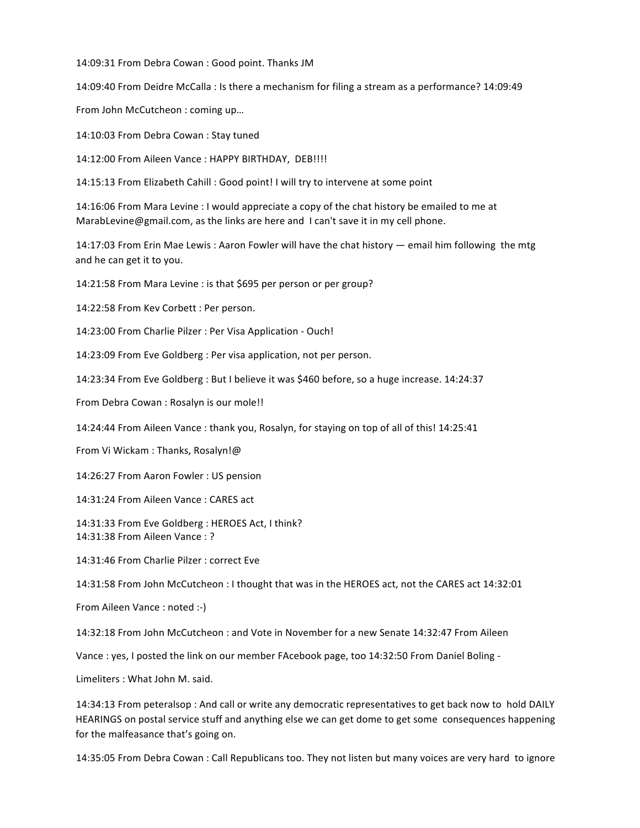14:09:31 From Debra Cowan : Good point. Thanks JM

14:09:40 From Deidre McCalla : Is there a mechanism for filing a stream as a performance? 14:09:49

From John McCutcheon : coming up...

14:10:03 From Debra Cowan : Stay tuned

14:12:00 From Aileen Vance : HAPPY BIRTHDAY, DEB!!!!

14:15:13 From Elizabeth Cahill : Good point! I will try to intervene at some point

14:16:06 From Mara Levine : I would appreciate a copy of the chat history be emailed to me at MarabLevine@gmail.com, as the links are here and  $\bot$  can't save it in my cell phone.

14:17:03 From Erin Mae Lewis : Aaron Fowler will have the chat history  $-$  email him following the mtg and he can get it to you.

14:21:58 From Mara Levine : is that \$695 per person or per group?

14:22:58 From Kev Corbett : Per person.

14:23:00 From Charlie Pilzer : Per Visa Application - Ouch!

14:23:09 From Eve Goldberg : Per visa application, not per person.

14:23:34 From Eve Goldberg : But I believe it was \$460 before, so a huge increase. 14:24:37

From Debra Cowan : Rosalyn is our mole!!

14:24:44 From Aileen Vance : thank you, Rosalyn, for staying on top of all of this! 14:25:41

From Vi Wickam : Thanks, Rosalyn!@

14:26:27 From Aaron Fowler : US pension

14:31:24 From Aileen Vance : CARES act

14:31:33 From Eve Goldberg : HEROES Act, I think? 14:31:38 From Aileen Vance: ?

14:31:46 From Charlie Pilzer : correct Eve

14:31:58 From John McCutcheon : I thought that was in the HEROES act, not the CARES act 14:32:01

From Aileen Vance : noted :-)

14:32:18 From John McCutcheon : and Vote in November for a new Senate 14:32:47 From Aileen

Vance : yes, I posted the link on our member FAcebook page, too 14:32:50 From Daniel Boling -

Limeliters : What John M. said.

14:34:13 From peteralsop : And call or write any democratic representatives to get back now to hold DAILY HEARINGS on postal service stuff and anything else we can get dome to get some consequences happening for the malfeasance that's going on.

14:35:05 From Debra Cowan : Call Republicans too. They not listen but many voices are very hard to ignore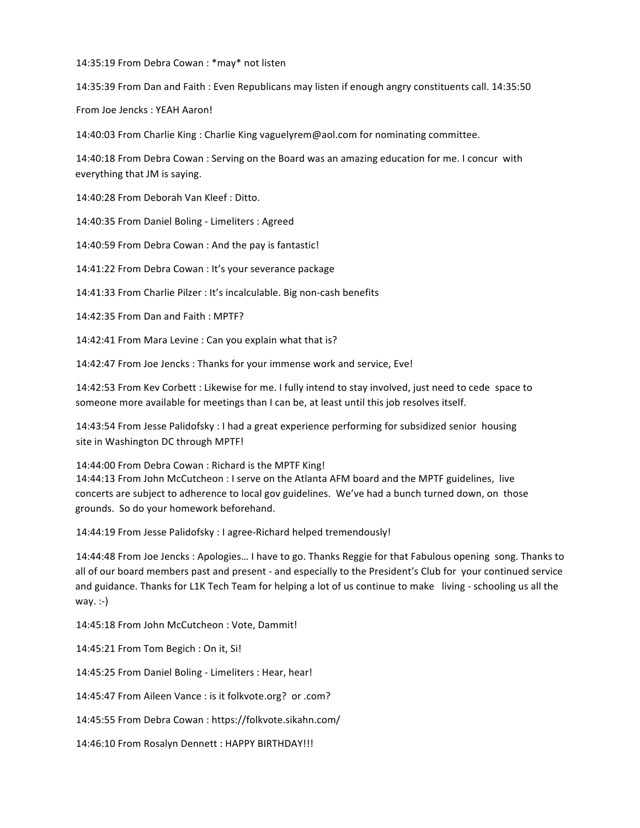14:35:19 From Debra Cowan : \* may\* not listen

14:35:39 From Dan and Faith : Even Republicans may listen if enough angry constituents call. 14:35:50

From Joe Jencks : YEAH Aaron!

14:40:03 From Charlie King : Charlie King vaguelyrem@aol.com for nominating committee.

14:40:18 From Debra Cowan : Serving on the Board was an amazing education for me. I concur with everything that JM is saying.

14:40:28 From Deborah Van Kleef : Ditto.

14:40:35 From Daniel Boling - Limeliters : Agreed

14:40:59 From Debra Cowan : And the pay is fantastic!

14:41:22 From Debra Cowan : It's your severance package

14:41:33 From Charlie Pilzer : It's incalculable. Big non-cash benefits

14:42:35 From Dan and Faith : MPTF?

14:42:41 From Mara Levine : Can you explain what that is?

14:42:47 From Joe Jencks : Thanks for your immense work and service, Eve!

14:42:53 From Kev Corbett : Likewise for me. I fully intend to stay involved, just need to cede space to someone more available for meetings than I can be, at least until this job resolves itself.

14:43:54 From Jesse Palidofsky : I had a great experience performing for subsidized senior housing site in Washington DC through MPTF!

14:44:00 From Debra Cowan : Richard is the MPTF King!

14:44:13 From John McCutcheon : I serve on the Atlanta AFM board and the MPTF guidelines, live concerts are subject to adherence to local gov guidelines. We've had a bunch turned down, on those grounds. So do your homework beforehand.

14:44:19 From Jesse Palidofsky : I agree-Richard helped tremendously!

14:44:48 From Joe Jencks : Apologies... I have to go. Thanks Reggie for that Fabulous opening song. Thanks to all of our board members past and present - and especially to the President's Club for your continued service and guidance. Thanks for L1K Tech Team for helping a lot of us continue to make living - schooling us all the way. $:$ -)

14:45:18 From John McCutcheon : Vote, Dammit!

14:45:21 From Tom Begich : On it, Si!

14:45:25 From Daniel Boling - Limeliters : Hear, hear!

14:45:47 From Aileen Vance : is it folkvote.org? or .com?

14:45:55 From Debra Cowan : https://folkvote.sikahn.com/ 

14:46:10 From Rosalyn Dennett : HAPPY BIRTHDAY!!!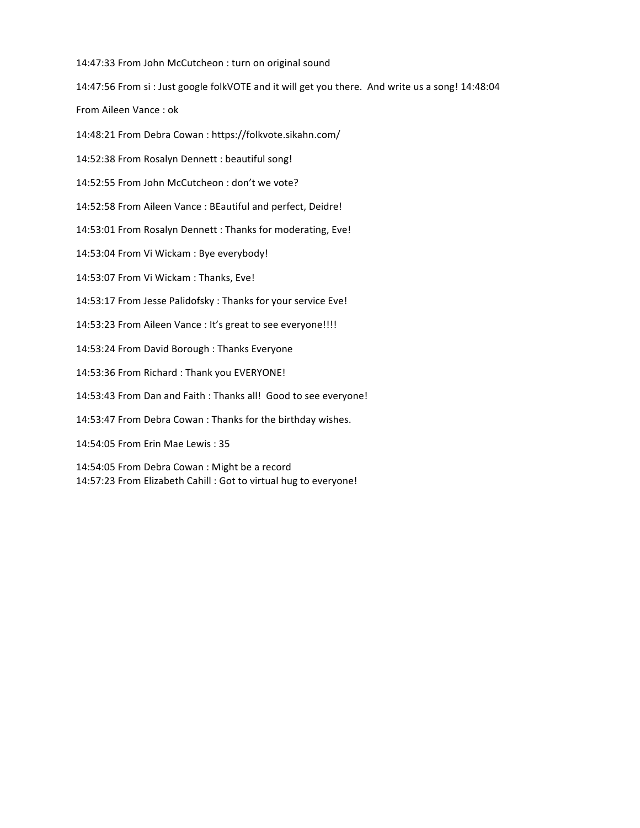14:47:33 From John McCutcheon : turn on original sound

14:47:56 From si : Just google folkVOTE and it will get you there. And write us a song! 14:48:04

From Aileen Vance : ok

14:48:21 From Debra Cowan : https://folkvote.sikahn.com/ 

14:52:38 From Rosalyn Dennett : beautiful song!

14:52:55 From John McCutcheon : don't we vote?

14:52:58 From Aileen Vance : BEautiful and perfect, Deidre!

14:53:01 From Rosalyn Dennett : Thanks for moderating, Eve!

14:53:04 From Vi Wickam : Bye everybody!

14:53:07 From Vi Wickam : Thanks, Eve!

14:53:17 From Jesse Palidofsky : Thanks for your service Eve!

14:53:23 From Aileen Vance : It's great to see everyone!!!!

14:53:24 From David Borough : Thanks Everyone

14:53:36 From Richard : Thank you EVERYONE!

14:53:43 From Dan and Faith : Thanks all! Good to see everyone!

14:53:47 From Debra Cowan : Thanks for the birthday wishes.

14:54:05 From Erin Mae Lewis : 35 

14:54:05 From Debra Cowan : Might be a record 14:57:23 From Elizabeth Cahill : Got to virtual hug to everyone!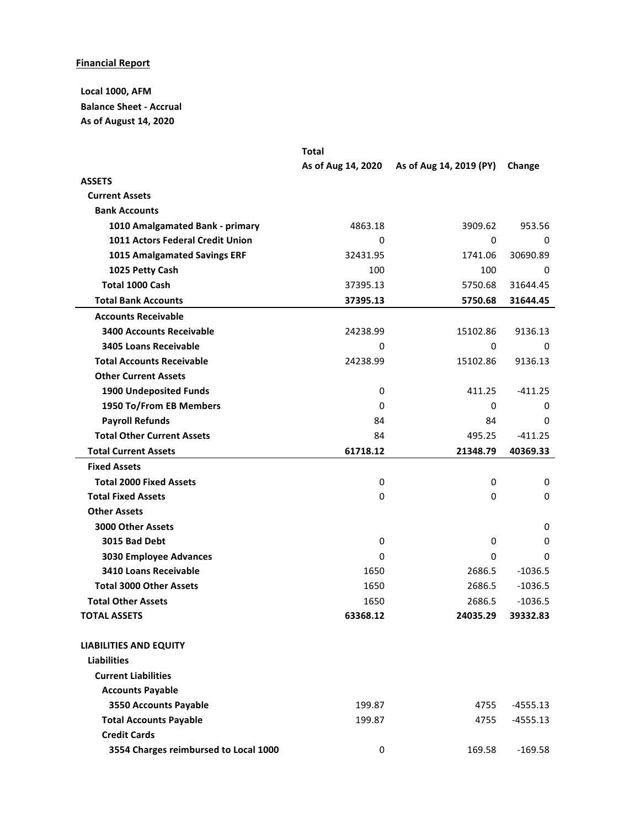# **Financial Report**

**Local 1000, AFM Balance Sheet - Accrual As of August 14, 2020**

|                                       | <b>Total</b>       |                         |            |
|---------------------------------------|--------------------|-------------------------|------------|
|                                       | As of Aug 14, 2020 | As of Aug 14, 2019 (PY) | Change     |
| <b>ASSETS</b>                         |                    |                         |            |
| <b>Current Assets</b>                 |                    |                         |            |
| <b>Bank Accounts</b>                  |                    |                         |            |
| 1010 Amalgamated Bank - primary       | 4863.18            | 3909.62                 | 953.56     |
| 1011 Actors Federal Credit Union      | 0                  | 0                       | 0          |
| 1015 Amalgamated Savings ERF          | 32431.95           | 1741.06                 | 30690.89   |
| 1025 Petty Cash                       | 100                | 100                     | 0          |
| <b>Total 1000 Cash</b>                | 37395.13           | 5750.68                 | 31644.45   |
| <b>Total Bank Accounts</b>            | 37395.13           | 5750.68                 | 31644.45   |
| <b>Accounts Receivable</b>            |                    |                         |            |
| <b>3400 Accounts Receivable</b>       | 24238.99           | 15102.86                | 9136.13    |
| <b>3405 Loans Receivable</b>          | 0                  | 0                       | 0          |
| <b>Total Accounts Receivable</b>      | 24238.99           | 15102.86                | 9136.13    |
| <b>Other Current Assets</b>           |                    |                         |            |
| <b>1900 Undeposited Funds</b>         | 0                  | 411.25                  | $-411.25$  |
| 1950 To/From EB Members               | 0                  | 0                       | 0          |
| <b>Payroll Refunds</b>                | 84                 | 84                      | $\Omega$   |
| <b>Total Other Current Assets</b>     | 84                 | 495.25                  | $-411.25$  |
| <b>Total Current Assets</b>           | 61718.12           | 21348.79                | 40369.33   |
| <b>Fixed Assets</b>                   |                    |                         |            |
| <b>Total 2000 Fixed Assets</b>        | 0                  | 0                       | 0          |
| <b>Total Fixed Assets</b>             | $\mathbf 0$        | 0                       | 0          |
| <b>Other Assets</b>                   |                    |                         |            |
| <b>3000 Other Assets</b>              |                    |                         | 0          |
| 3015 Bad Debt                         | 0                  | 0                       | 0          |
| 3030 Employee Advances                | 0                  | 0                       | 0          |
| 3410 Loans Receivable                 | 1650               | 2686.5                  | $-1036.5$  |
| <b>Total 3000 Other Assets</b>        | 1650               | 2686.5                  | $-1036.5$  |
| <b>Total Other Assets</b>             | 1650               | 2686.5                  | $-1036.5$  |
| <b>TOTAL ASSETS</b>                   | 63368.12           | 24035.29                | 39332.83   |
| <b>LIABILITIES AND EQUITY</b>         |                    |                         |            |
| <b>Liabilities</b>                    |                    |                         |            |
| <b>Current Liabilities</b>            |                    |                         |            |
| <b>Accounts Payable</b>               |                    |                         |            |
| 3550 Accounts Payable                 | 199.87             | 4755                    | $-4555.13$ |
| <b>Total Accounts Payable</b>         | 199.87             | 4755                    | $-4555.13$ |
| <b>Credit Cards</b>                   |                    |                         |            |
| 3554 Charges reimbursed to Local 1000 | 0                  | 169.58                  | $-169.58$  |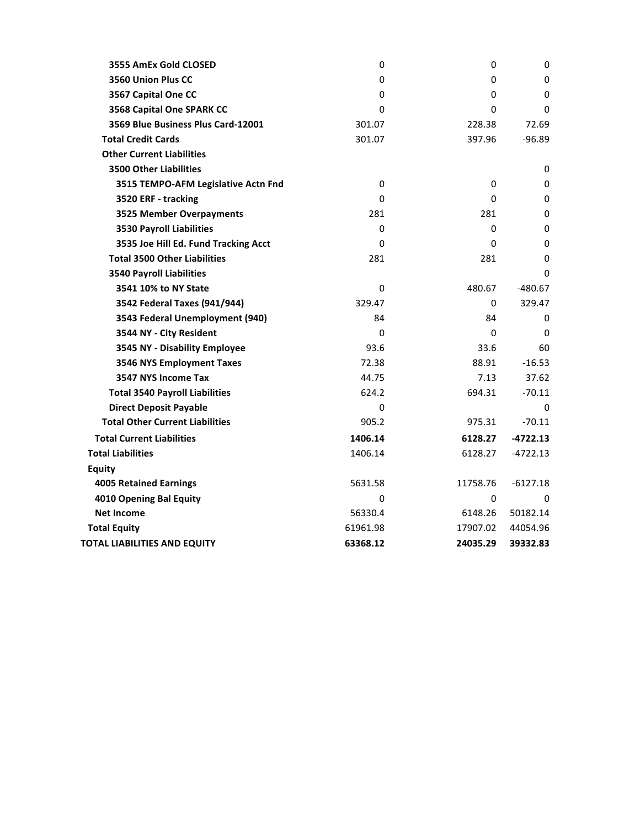| 3555 AmEx Gold CLOSED                  | 0        | 0        | 0            |
|----------------------------------------|----------|----------|--------------|
| 3560 Union Plus CC                     | 0        | 0        | 0            |
| 3567 Capital One CC                    | 0        | 0        | 0            |
| 3568 Capital One SPARK CC              | 0        | 0        | 0            |
| 3569 Blue Business Plus Card-12001     | 301.07   | 228.38   | 72.69        |
| <b>Total Credit Cards</b>              | 301.07   | 397.96   | $-96.89$     |
| <b>Other Current Liabilities</b>       |          |          |              |
| <b>3500 Other Liabilities</b>          |          |          | 0            |
| 3515 TEMPO-AFM Legislative Actn Fnd    | 0        | 0        | 0            |
| 3520 ERF - tracking                    | $\Omega$ | $\Omega$ | 0            |
| <b>3525 Member Overpayments</b>        | 281      | 281      | 0            |
| <b>3530 Payroll Liabilities</b>        | 0        | 0        | 0            |
| 3535 Joe Hill Ed. Fund Tracking Acct   | 0        | 0        | 0            |
| <b>Total 3500 Other Liabilities</b>    | 281      | 281      | 0            |
| <b>3540 Payroll Liabilities</b>        |          |          | 0            |
| 3541 10% to NY State                   | $\Omega$ | 480.67   | $-480.67$    |
| 3542 Federal Taxes (941/944)           | 329.47   | 0        | 329.47       |
| 3543 Federal Unemployment (940)        | 84       | 84       | 0            |
| 3544 NY - City Resident                | $\Omega$ | $\Omega$ | $\mathbf{0}$ |
| 3545 NY - Disability Employee          | 93.6     | 33.6     | 60           |
| 3546 NYS Employment Taxes              | 72.38    | 88.91    | $-16.53$     |
| 3547 NYS Income Tax                    | 44.75    | 7.13     | 37.62        |
| <b>Total 3540 Payroll Liabilities</b>  | 624.2    | 694.31   | $-70.11$     |
| <b>Direct Deposit Payable</b>          | 0        |          | $\Omega$     |
| <b>Total Other Current Liabilities</b> | 905.2    | 975.31   | $-70.11$     |
| <b>Total Current Liabilities</b>       | 1406.14  | 6128.27  | $-4722.13$   |
| <b>Total Liabilities</b>               | 1406.14  | 6128.27  | $-4722.13$   |
| <b>Equity</b>                          |          |          |              |
| <b>4005 Retained Earnings</b>          | 5631.58  | 11758.76 | $-6127.18$   |
| 4010 Opening Bal Equity                | $\Omega$ | 0        | $\Omega$     |
| <b>Net Income</b>                      | 56330.4  | 6148.26  | 50182.14     |
| <b>Total Equity</b>                    | 61961.98 | 17907.02 | 44054.96     |
| <b>TOTAL LIABILITIES AND EQUITY</b>    | 63368.12 | 24035.29 | 39332.83     |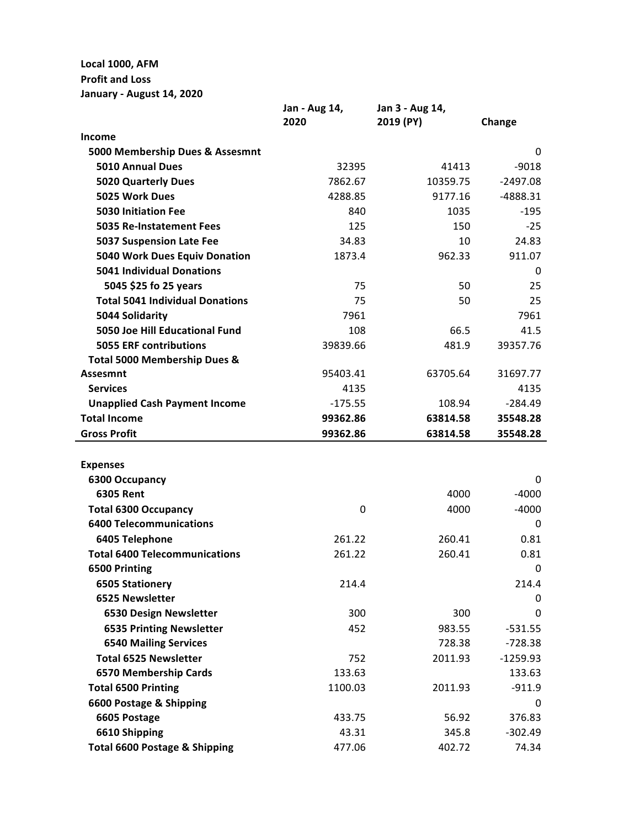**Local 1000, AFM**

# **Profit and Loss**

**January - August 14, 2020**

|                                          | Jan - Aug 14, | Jan 3 - Aug 14, |            |
|------------------------------------------|---------------|-----------------|------------|
|                                          | 2020          | 2019 (PY)       | Change     |
| Income                                   |               |                 |            |
| 5000 Membership Dues & Assesmnt          |               |                 | 0          |
| <b>5010 Annual Dues</b>                  | 32395         | 41413           | $-9018$    |
| <b>5020 Quarterly Dues</b>               | 7862.67       | 10359.75        | $-2497.08$ |
| 5025 Work Dues                           | 4288.85       | 9177.16         | $-4888.31$ |
| <b>5030 Initiation Fee</b>               | 840           | 1035            | $-195$     |
| <b>5035 Re-Instatement Fees</b>          | 125           | 150             | $-25$      |
| <b>5037 Suspension Late Fee</b>          | 34.83         | 10              | 24.83      |
| 5040 Work Dues Equiv Donation            | 1873.4        | 962.33          | 911.07     |
| <b>5041 Individual Donations</b>         |               |                 | 0          |
| 5045 \$25 fo 25 years                    | 75            | 50              | 25         |
| <b>Total 5041 Individual Donations</b>   | 75            | 50              | 25         |
| 5044 Solidarity                          | 7961          |                 | 7961       |
| 5050 Joe Hill Educational Fund           | 108           | 66.5            | 41.5       |
| <b>5055 ERF contributions</b>            | 39839.66      | 481.9           | 39357.76   |
| Total 5000 Membership Dues &             |               |                 |            |
| <b>Assesmnt</b>                          | 95403.41      | 63705.64        | 31697.77   |
| <b>Services</b>                          | 4135          |                 | 4135       |
| <b>Unapplied Cash Payment Income</b>     | $-175.55$     | 108.94          | $-284.49$  |
| <b>Total Income</b>                      | 99362.86      | 63814.58        | 35548.28   |
| <b>Gross Profit</b>                      | 99362.86      | 63814.58        | 35548.28   |
|                                          |               |                 |            |
| <b>Expenses</b>                          |               |                 |            |
| 6300 Occupancy                           |               |                 | 0          |
| <b>6305 Rent</b>                         |               | 4000            | $-4000$    |
| <b>Total 6300 Occupancy</b>              | 0             | 4000            | $-4000$    |
| <b>6400 Telecommunications</b>           |               |                 | 0          |
| 6405 Telephone                           | 261.22        | 260.41          | 0.81       |
| <b>Total 6400 Telecommunications</b>     | 261.22        | 260.41          | 0.81       |
| 6500 Printing                            |               |                 | 0          |
| <b>6505 Stationery</b>                   | 214.4         |                 | 214.4      |
| 6525 Newsletter                          |               |                 | 0          |
| 6530 Design Newsletter                   | 300           | 300             | 0          |
| <b>6535 Printing Newsletter</b>          | 452           | 983.55          | $-531.55$  |
| <b>6540 Mailing Services</b>             |               | 728.38          | $-728.38$  |
| <b>Total 6525 Newsletter</b>             | 752           | 2011.93         | $-1259.93$ |
| 6570 Membership Cards                    | 133.63        |                 | 133.63     |
| <b>Total 6500 Printing</b>               | 1100.03       | 2011.93         | $-911.9$   |
| 6600 Postage & Shipping                  |               |                 | 0          |
| 6605 Postage                             | 433.75        | 56.92           | 376.83     |
| 6610 Shipping                            | 43.31         | 345.8           | $-302.49$  |
| <b>Total 6600 Postage &amp; Shipping</b> | 477.06        | 402.72          | 74.34      |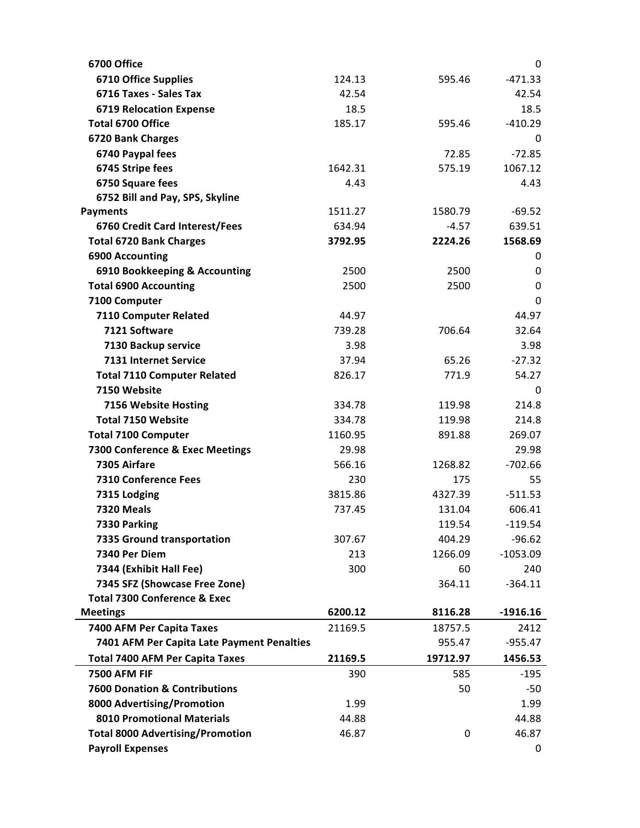| 6700 Office                                                     |         |             | 0                      |
|-----------------------------------------------------------------|---------|-------------|------------------------|
| <b>6710 Office Supplies</b>                                     | 124.13  | 595.46      | $-471.33$              |
| 6716 Taxes - Sales Tax                                          | 42.54   |             | 42.54                  |
| <b>6719 Relocation Expense</b>                                  | 18.5    |             | 18.5                   |
| Total 6700 Office                                               | 185.17  | 595.46      | $-410.29$              |
| 6720 Bank Charges                                               |         |             | 0                      |
| 6740 Paypal fees                                                |         | 72.85       | $-72.85$               |
| 6745 Stripe fees                                                | 1642.31 | 575.19      | 1067.12                |
| 6750 Square fees                                                | 4.43    |             | 4.43                   |
| 6752 Bill and Pay, SPS, Skyline                                 |         |             |                        |
| <b>Payments</b>                                                 | 1511.27 | 1580.79     | $-69.52$               |
| 6760 Credit Card Interest/Fees                                  | 634.94  | $-4.57$     | 639.51                 |
| <b>Total 6720 Bank Charges</b>                                  | 3792.95 | 2224.26     | 1568.69                |
| <b>6900 Accounting</b>                                          |         |             | 0                      |
| 6910 Bookkeeping & Accounting                                   | 2500    | 2500        | 0                      |
| <b>Total 6900 Accounting</b>                                    | 2500    | 2500        | 0                      |
| 7100 Computer                                                   |         |             | 0                      |
| 7110 Computer Related                                           | 44.97   |             | 44.97                  |
| 7121 Software                                                   | 739.28  | 706.64      | 32.64                  |
| 7130 Backup service                                             | 3.98    |             | 3.98                   |
| 7131 Internet Service                                           | 37.94   | 65.26       | $-27.32$               |
| <b>Total 7110 Computer Related</b>                              | 826.17  | 771.9       | 54.27                  |
| 7150 Website                                                    |         |             | 0                      |
| 7156 Website Hosting                                            | 334.78  | 119.98      | 214.8                  |
| <b>Total 7150 Website</b>                                       | 334.78  | 119.98      | 214.8                  |
| <b>Total 7100 Computer</b>                                      | 1160.95 | 891.88      | 269.07                 |
| 7300 Conference & Exec Meetings                                 | 29.98   |             | 29.98                  |
| 7305 Airfare                                                    | 566.16  | 1268.82     | $-702.66$              |
| <b>7310 Conference Fees</b>                                     | 230     | 175         | 55                     |
| 7315 Lodging                                                    | 3815.86 | 4327.39     | $-511.53$              |
| <b>7320 Meals</b>                                               | 737.45  | 131.04      | 606.41                 |
| 7330 Parking                                                    |         | 119.54      | $-119.54$              |
| 7335 Ground transportation                                      | 307.67  | 404.29      | $-96.62$               |
| 7340 Per Diem                                                   | 213     | 1266.09     | $-1053.09$             |
| 7344 (Exhibit Hall Fee)                                         | 300     | 60          | 240                    |
| 7345 SFZ (Showcase Free Zone)                                   |         | 364.11      | $-364.11$              |
| <b>Total 7300 Conference &amp; Exec</b>                         |         |             |                        |
| <b>Meetings</b>                                                 | 6200.12 | 8116.28     | $-1916.16$             |
| 7400 AFM Per Capita Taxes                                       | 21169.5 | 18757.5     | 2412                   |
| 7401 AFM Per Capita Late Payment Penalties                      |         | 955.47      | $-955.47$              |
| <b>Total 7400 AFM Per Capita Taxes</b>                          | 21169.5 | 19712.97    | 1456.53                |
| <b>7500 AFM FIF</b>                                             |         | 585         | $-195$                 |
|                                                                 | 390     |             |                        |
| <b>7600 Donation &amp; Contributions</b>                        |         | 50          |                        |
|                                                                 | 1.99    |             |                        |
| 8000 Advertising/Promotion<br><b>8010 Promotional Materials</b> | 44.88   |             | $-50$<br>1.99<br>44.88 |
| <b>Total 8000 Advertising/Promotion</b>                         | 46.87   | $\mathbf 0$ | 46.87                  |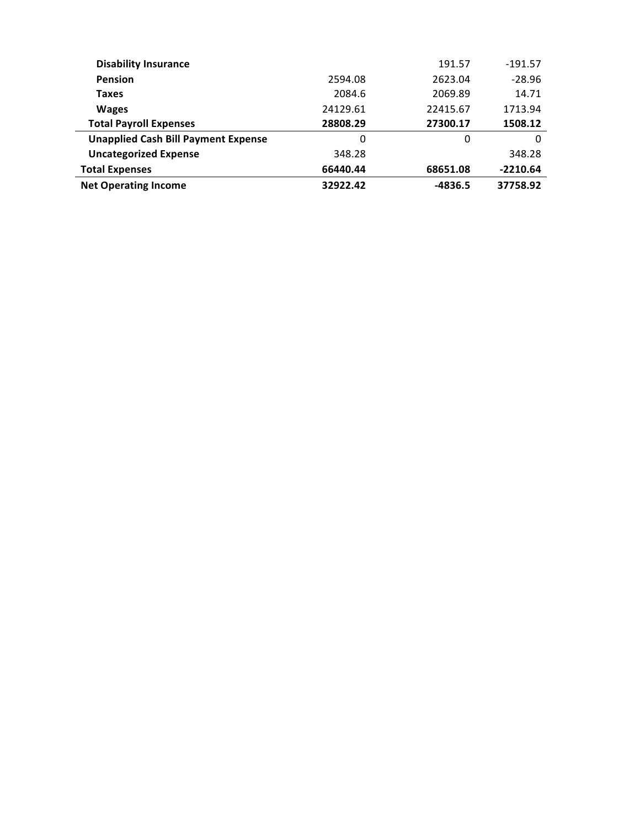| <b>Disability Insurance</b>                |          | 191.57   | $-191.57$  |
|--------------------------------------------|----------|----------|------------|
| <b>Pension</b>                             | 2594.08  | 2623.04  | $-28.96$   |
| Taxes                                      | 2084.6   | 2069.89  | 14.71      |
| <b>Wages</b>                               | 24129.61 | 22415.67 | 1713.94    |
| <b>Total Payroll Expenses</b>              | 28808.29 | 27300.17 | 1508.12    |
| <b>Unapplied Cash Bill Payment Expense</b> | 0        | 0        | $\Omega$   |
| <b>Uncategorized Expense</b>               | 348.28   |          | 348.28     |
| <b>Total Expenses</b>                      | 66440.44 | 68651.08 | $-2210.64$ |
| <b>Net Operating Income</b>                | 32922.42 | -4836.5  | 37758.92   |